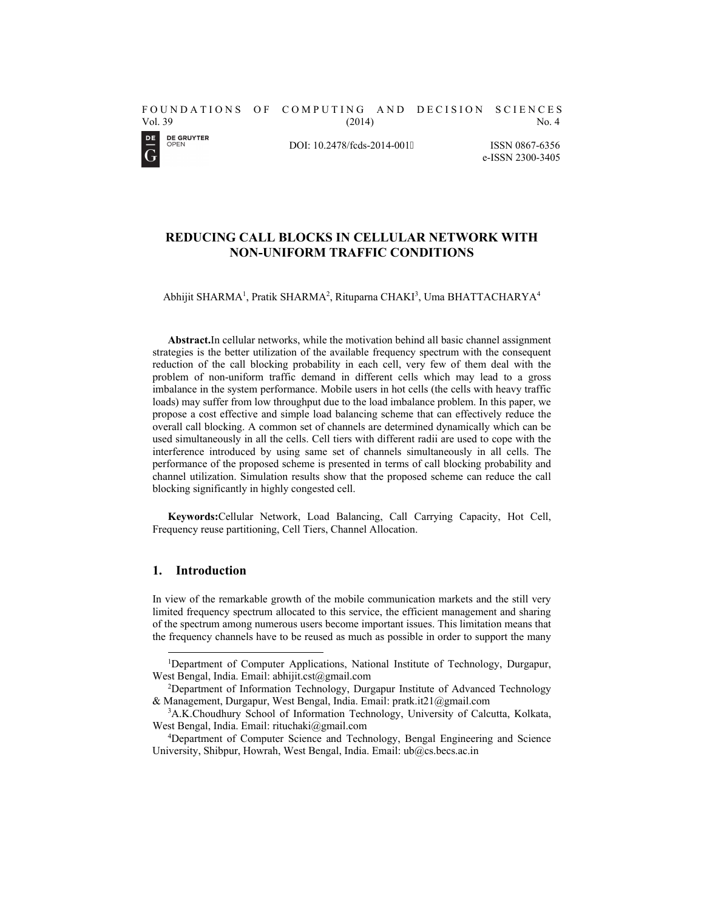FOUNDATIONS OF COMPUTING AND DECISION SCIENCES<br>Vol 39 (2014) (2014) Vol. 39 No. 4 (2014) No. 4



DE GRUYTER<br>
DOI: 10.2478/fcds-2014-0018 ISSN 0867-6356

e-ISSN 2300-3405

# **REDUCING CALL BLOCKS IN CELLULAR NETWORK WITH NON-UNIFORM TRAFFIC CONDITIONS**

#### Abhijit SHARMA<sup>1</sup>, Pratik SHARMA<sup>2</sup>, Rituparna CHAKI<sup>3</sup>, Uma BHATTACHARYA<sup>4</sup>

**Abstract.**In cellular networks, while the motivation behind all basic channel assignment strategies is the better utilization of the available frequency spectrum with the consequent reduction of the call blocking probability in each cell, very few of them deal with the problem of non-uniform traffic demand in different cells which may lead to a gross imbalance in the system performance. Mobile users in hot cells (the cells with heavy traffic loads) may suffer from low throughput due to the load imbalance problem. In this paper, we propose a cost effective and simple load balancing scheme that can effectively reduce the overall call blocking. A common set of channels are determined dynamically which can be used simultaneously in all the cells. Cell tiers with different radii are used to cope with the interference introduced by using same set of channels simultaneously in all cells. The performance of the proposed scheme is presented in terms of call blocking probability and channel utilization. Simulation results show that the proposed scheme can reduce the call blocking significantly in highly congested cell.

**Keywords:**Cellular Network, Load Balancing, Call Carrying Capacity, Hot Cell, Frequency reuse partitioning, Cell Tiers, Channel Allocation.

## **1. Introduction**

 $\overline{a}$ 

In view of the remarkable growth of the mobile communication markets and the still very limited frequency spectrum allocated to this service, the efficient management and sharing of the spectrum among numerous users become important issues. This limitation means that the frequency channels have to be reused as much as possible in order to support the many

<sup>&</sup>lt;sup>1</sup>Department of Computer Applications, National Institute of Technology, Durgapur, West Bengal, India. Email: abhijit.cst@gmail.com 2

Department of Information Technology, Durgapur Institute of Advanced Technology & Management, Durgapur, West Bengal, India. Email: pratk.it $21$ @gmail.com

<sup>&</sup>lt;sup>3</sup>A.K.Choudhury School of Information Technology, University of Calcutta, Kolkata, West Bengal, India. Email: rituchaki@gmail.com

Department of Computer Science and Technology, Bengal Engineering and Science University, Shibpur, Howrah, West Bengal, India. Email: ub@cs.becs.ac.in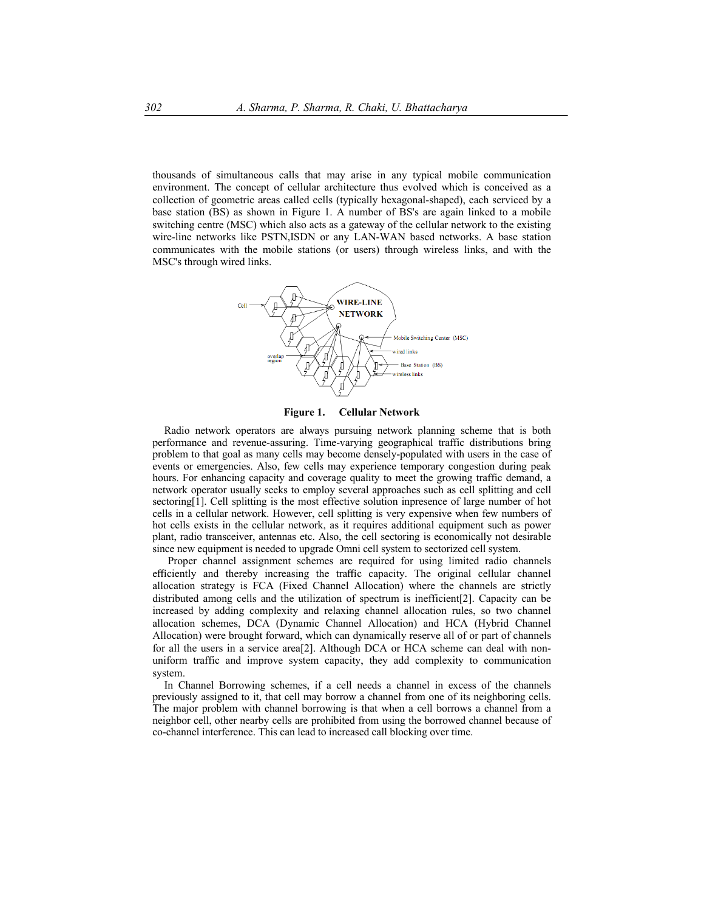thousands of simultaneous calls that may arise in any typical mobile communication environment. The concept of cellular architecture thus evolved which is conceived as a collection of geometric areas called cells (typically hexagonal-shaped), each serviced by a base station (BS) as shown in Figure 1. A number of BS's are again linked to a mobile switching centre (MSC) which also acts as a gateway of the cellular network to the existing wire-line networks like PSTN,ISDN or any LAN-WAN based networks. A base station communicates with the mobile stations (or users) through wireless links, and with the MSC's through wired links.





Radio network operators are always pursuing network planning scheme that is both performance and revenue-assuring. Time-varying geographical traffic distributions bring problem to that goal as many cells may become densely-populated with users in the case of events or emergencies. Also, few cells may experience temporary congestion during peak hours. For enhancing capacity and coverage quality to meet the growing traffic demand, a network operator usually seeks to employ several approaches such as cell splitting and cell sectoring[1]. Cell splitting is the most effective solution inpresence of large number of hot cells in a cellular network. However, cell splitting is very expensive when few numbers of hot cells exists in the cellular network, as it requires additional equipment such as power plant, radio transceiver, antennas etc. Also, the cell sectoring is economically not desirable since new equipment is needed to upgrade Omni cell system to sectorized cell system.

Proper channel assignment schemes are required for using limited radio channels efficiently and thereby increasing the traffic capacity. The original cellular channel allocation strategy is FCA (Fixed Channel Allocation) where the channels are strictly distributed among cells and the utilization of spectrum is inefficient[2]. Capacity can be increased by adding complexity and relaxing channel allocation rules, so two channel allocation schemes, DCA (Dynamic Channel Allocation) and HCA (Hybrid Channel Allocation) were brought forward, which can dynamically reserve all of or part of channels for all the users in a service area[2]. Although DCA or HCA scheme can deal with nonuniform traffic and improve system capacity, they add complexity to communication system.

In Channel Borrowing schemes, if a cell needs a channel in excess of the channels previously assigned to it, that cell may borrow a channel from one of its neighboring cells. The major problem with channel borrowing is that when a cell borrows a channel from a neighbor cell, other nearby cells are prohibited from using the borrowed channel because of co-channel interference. This can lead to increased call blocking over time.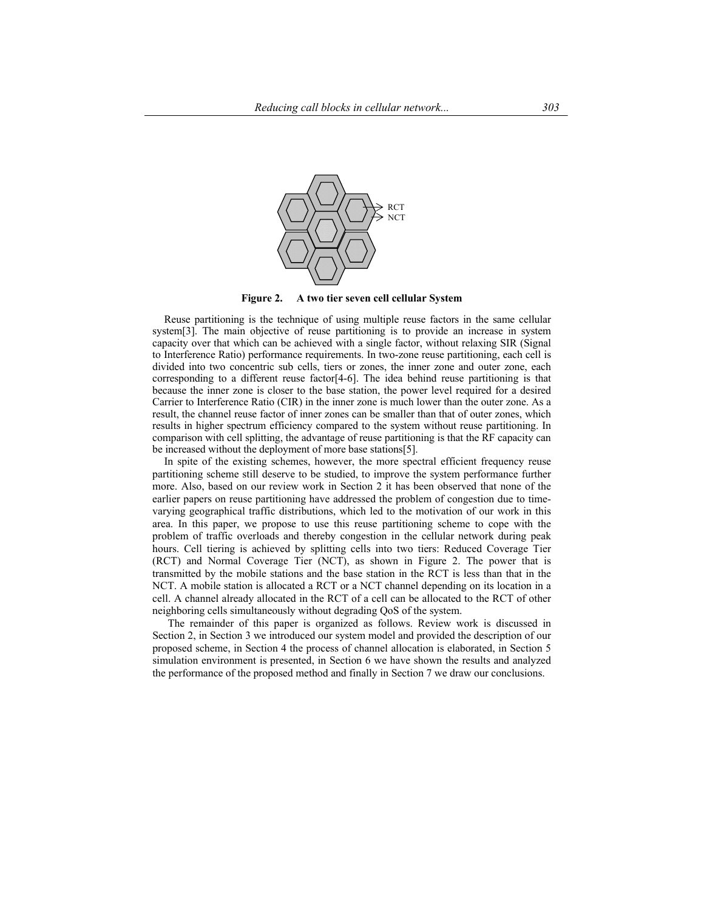

**Figure 2. A two tier seven cell cellular System** 

Reuse partitioning is the technique of using multiple reuse factors in the same cellular system<sup>[3]</sup>. The main objective of reuse partitioning is to provide an increase in system capacity over that which can be achieved with a single factor, without relaxing SIR (Signal to Interference Ratio) performance requirements. In two-zone reuse partitioning, each cell is divided into two concentric sub cells, tiers or zones, the inner zone and outer zone, each corresponding to a different reuse factor[4-6]. The idea behind reuse partitioning is that because the inner zone is closer to the base station, the power level required for a desired Carrier to Interference Ratio (CIR) in the inner zone is much lower than the outer zone. As a result, the channel reuse factor of inner zones can be smaller than that of outer zones, which results in higher spectrum efficiency compared to the system without reuse partitioning. In comparison with cell splitting, the advantage of reuse partitioning is that the RF capacity can be increased without the deployment of more base stations[5].

In spite of the existing schemes, however, the more spectral efficient frequency reuse partitioning scheme still deserve to be studied, to improve the system performance further more. Also, based on our review work in Section 2 it has been observed that none of the earlier papers on reuse partitioning have addressed the problem of congestion due to timevarying geographical traffic distributions, which led to the motivation of our work in this area. In this paper, we propose to use this reuse partitioning scheme to cope with the problem of traffic overloads and thereby congestion in the cellular network during peak hours. Cell tiering is achieved by splitting cells into two tiers: Reduced Coverage Tier (RCT) and Normal Coverage Tier (NCT), as shown in Figure 2. The power that is transmitted by the mobile stations and the base station in the RCT is less than that in the NCT. A mobile station is allocated a RCT or a NCT channel depending on its location in a cell. A channel already allocated in the RCT of a cell can be allocated to the RCT of other neighboring cells simultaneously without degrading QoS of the system.

The remainder of this paper is organized as follows. Review work is discussed in Section 2, in Section 3 we introduced our system model and provided the description of our proposed scheme, in Section 4 the process of channel allocation is elaborated, in Section 5 simulation environment is presented, in Section 6 we have shown the results and analyzed the performance of the proposed method and finally in Section 7 we draw our conclusions.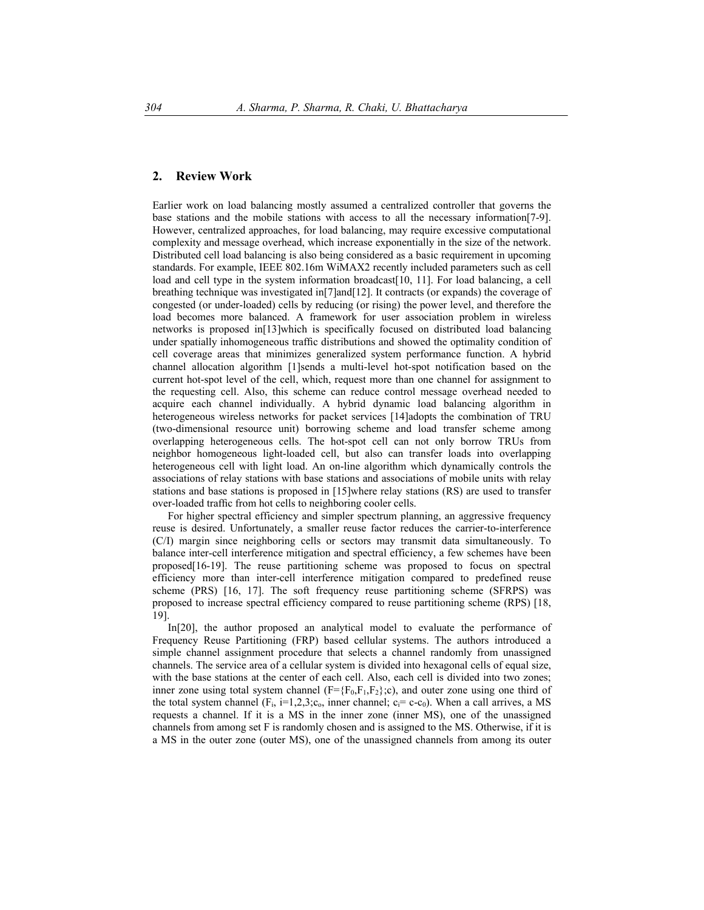### **2. Review Work**

Earlier work on load balancing mostly assumed a centralized controller that governs the base stations and the mobile stations with access to all the necessary information[7-9]. However, centralized approaches, for load balancing, may require excessive computational complexity and message overhead, which increase exponentially in the size of the network. Distributed cell load balancing is also being considered as a basic requirement in upcoming standards. For example, IEEE 802.16m WiMAX2 recently included parameters such as cell load and cell type in the system information broadcast [10, 11]. For load balancing, a cell breathing technique was investigated in[7]and[12]. It contracts (or expands) the coverage of congested (or under-loaded) cells by reducing (or rising) the power level, and therefore the load becomes more balanced. A framework for user association problem in wireless networks is proposed in[13]which is specifically focused on distributed load balancing under spatially inhomogeneous traffic distributions and showed the optimality condition of cell coverage areas that minimizes generalized system performance function. A hybrid channel allocation algorithm [1]sends a multi-level hot-spot notification based on the current hot-spot level of the cell, which, request more than one channel for assignment to the requesting cell. Also, this scheme can reduce control message overhead needed to acquire each channel individually. A hybrid dynamic load balancing algorithm in heterogeneous wireless networks for packet services [14]adopts the combination of TRU (two-dimensional resource unit) borrowing scheme and load transfer scheme among overlapping heterogeneous cells. The hot-spot cell can not only borrow TRUs from neighbor homogeneous light-loaded cell, but also can transfer loads into overlapping heterogeneous cell with light load. An on-line algorithm which dynamically controls the associations of relay stations with base stations and associations of mobile units with relay stations and base stations is proposed in [15]where relay stations (RS) are used to transfer over-loaded traffic from hot cells to neighboring cooler cells.

For higher spectral efficiency and simpler spectrum planning, an aggressive frequency reuse is desired. Unfortunately, a smaller reuse factor reduces the carrier-to-interference (C/I) margin since neighboring cells or sectors may transmit data simultaneously. To balance inter-cell interference mitigation and spectral efficiency, a few schemes have been proposed[16-19]. The reuse partitioning scheme was proposed to focus on spectral efficiency more than inter-cell interference mitigation compared to predefined reuse scheme (PRS) [16, 17]. The soft frequency reuse partitioning scheme (SFRPS) was proposed to increase spectral efficiency compared to reuse partitioning scheme (RPS) [18, 19].

In[20], the author proposed an analytical model to evaluate the performance of Frequency Reuse Partitioning (FRP) based cellular systems. The authors introduced a simple channel assignment procedure that selects a channel randomly from unassigned channels. The service area of a cellular system is divided into hexagonal cells of equal size, with the base stations at the center of each cell. Also, each cell is divided into two zones; inner zone using total system channel  $(F = {F_0, F_1, F_2}; c)$ , and outer zone using one third of the total system channel  $(F_i, i=1,2,3;c_0, j=1,2,3; c_0)$ . When a call arrives, a MS requests a channel. If it is a MS in the inner zone (inner MS), one of the unassigned channels from among set F is randomly chosen and is assigned to the MS. Otherwise, if it is a MS in the outer zone (outer MS), one of the unassigned channels from among its outer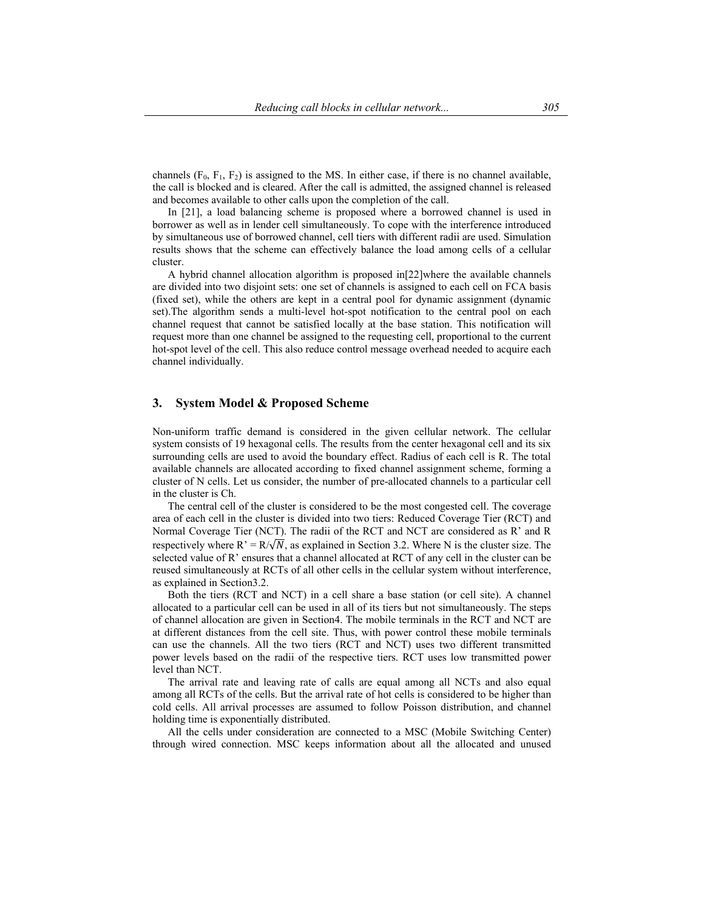channels  $(F_0, F_1, F_2)$  is assigned to the MS. In either case, if there is no channel available, the call is blocked and is cleared. After the call is admitted, the assigned channel is released and becomes available to other calls upon the completion of the call.

In [21], a load balancing scheme is proposed where a borrowed channel is used in borrower as well as in lender cell simultaneously. To cope with the interference introduced by simultaneous use of borrowed channel, cell tiers with different radii are used. Simulation results shows that the scheme can effectively balance the load among cells of a cellular cluster.

A hybrid channel allocation algorithm is proposed in[22]where the available channels are divided into two disjoint sets: one set of channels is assigned to each cell on FCA basis (fixed set), while the others are kept in a central pool for dynamic assignment (dynamic set).The algorithm sends a multi-level hot-spot notification to the central pool on each channel request that cannot be satisfied locally at the base station. This notification will request more than one channel be assigned to the requesting cell, proportional to the current hot-spot level of the cell. This also reduce control message overhead needed to acquire each channel individually.

### **3. System Model & Proposed Scheme**

Non-uniform traffic demand is considered in the given cellular network. The cellular system consists of 19 hexagonal cells. The results from the center hexagonal cell and its six surrounding cells are used to avoid the boundary effect. Radius of each cell is R. The total available channels are allocated according to fixed channel assignment scheme, forming a cluster of N cells. Let us consider, the number of pre-allocated channels to a particular cell in the cluster is Ch.

The central cell of the cluster is considered to be the most congested cell. The coverage area of each cell in the cluster is divided into two tiers: Reduced Coverage Tier (RCT) and Normal Coverage Tier (NCT). The radii of the RCT and NCT are considered as R' and R respectively where  $R' = R/\sqrt{N}$ , as explained in Section 3.2. Where N is the cluster size. The selected value of R' ensures that a channel allocated at RCT of any cell in the cluster can be reused simultaneously at RCTs of all other cells in the cellular system without interference, as explained in Section3.2.

Both the tiers (RCT and NCT) in a cell share a base station (or cell site). A channel allocated to a particular cell can be used in all of its tiers but not simultaneously. The steps of channel allocation are given in Section4. The mobile terminals in the RCT and NCT are at different distances from the cell site. Thus, with power control these mobile terminals can use the channels. All the two tiers (RCT and NCT) uses two different transmitted power levels based on the radii of the respective tiers. RCT uses low transmitted power level than NCT.

The arrival rate and leaving rate of calls are equal among all NCTs and also equal among all RCTs of the cells. But the arrival rate of hot cells is considered to be higher than cold cells. All arrival processes are assumed to follow Poisson distribution, and channel holding time is exponentially distributed.

All the cells under consideration are connected to a MSC (Mobile Switching Center) through wired connection. MSC keeps information about all the allocated and unused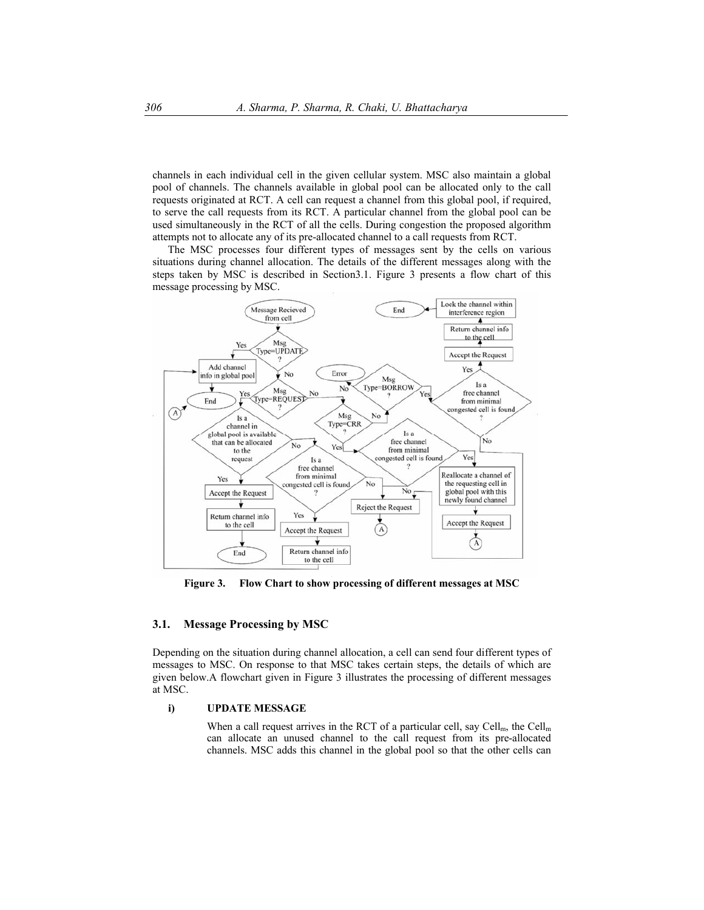channels in each individual cell in the given cellular system. MSC also maintain a global pool of channels. The channels available in global pool can be allocated only to the call requests originated at RCT. A cell can request a channel from this global pool, if required, to serve the call requests from its RCT. A particular channel from the global pool can be used simultaneously in the RCT of all the cells. During congestion the proposed algorithm attempts not to allocate any of its pre-allocated channel to a call requests from RCT.

The MSC processes four different types of messages sent by the cells on various situations during channel allocation. The details of the different messages along with the steps taken by MSC is described in Section3.1. Figure 3 presents a flow chart of this message processing by MSC.



**Figure 3. Flow Chart to show processing of different messages at MSC** 

### **3.1. Message Processing by MSC**

Depending on the situation during channel allocation, a cell can send four different types of messages to MSC. On response to that MSC takes certain steps, the details of which are given below.A flowchart given in Figure 3 illustrates the processing of different messages at MSC.

### **i) UPDATE MESSAGE**

When a call request arrives in the RCT of a particular cell, say Cell<sub>m</sub>, the Cell<sub>m</sub> can allocate an unused channel to the call request from its pre-allocated channels. MSC adds this channel in the global pool so that the other cells can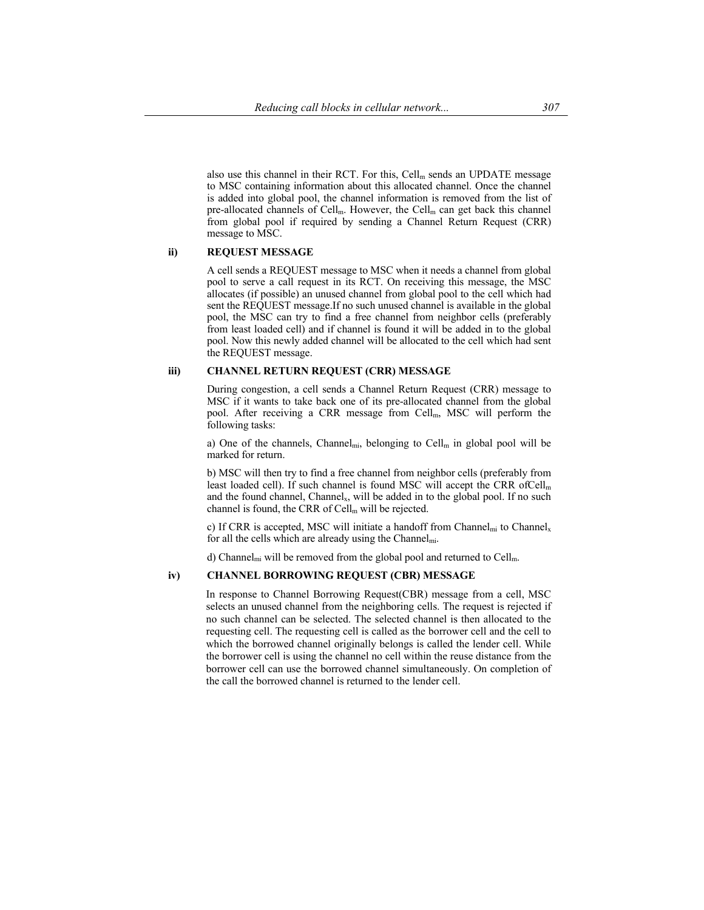also use this channel in their RCT. For this,  $Cell<sub>m</sub>$  sends an UPDATE message to MSC containing information about this allocated channel. Once the channel is added into global pool, the channel information is removed from the list of pre-allocated channels of Cellm. However, the Cellm can get back this channel from global pool if required by sending a Channel Return Request (CRR) message to MSC.

### **ii) REQUEST MESSAGE**

A cell sends a REQUEST message to MSC when it needs a channel from global pool to serve a call request in its RCT. On receiving this message, the MSC allocates (if possible) an unused channel from global pool to the cell which had sent the REQUEST message.If no such unused channel is available in the global pool, the MSC can try to find a free channel from neighbor cells (preferably from least loaded cell) and if channel is found it will be added in to the global pool. Now this newly added channel will be allocated to the cell which had sent the REQUEST message.

#### **iii) CHANNEL RETURN REQUEST (CRR) MESSAGE**

During congestion, a cell sends a Channel Return Request (CRR) message to MSC if it wants to take back one of its pre-allocated channel from the global pool. After receiving a CRR message from Cell<sub>m</sub>, MSC will perform the following tasks:

a) One of the channels, Channel<sub>mi</sub>, belonging to Cell<sub>m</sub> in global pool will be marked for return.

b) MSC will then try to find a free channel from neighbor cells (preferably from least loaded cell). If such channel is found MSC will accept the CRR ofCell<sub>m</sub> and the found channel, Channelx, will be added in to the global pool. If no such channel is found, the CRR of  $Cell<sub>m</sub>$  will be rejected.

c) If CRR is accepted, MSC will initiate a handoff from Channel<sub>mi</sub> to Channel<sub>x</sub> for all the cells which are already using the Channelmi.

d) Channel<sub>mi</sub> will be removed from the global pool and returned to Cell<sub>m</sub>.

## **iv) CHANNEL BORROWING REQUEST (CBR) MESSAGE**

In response to Channel Borrowing Request(CBR) message from a cell, MSC selects an unused channel from the neighboring cells. The request is rejected if no such channel can be selected. The selected channel is then allocated to the requesting cell. The requesting cell is called as the borrower cell and the cell to which the borrowed channel originally belongs is called the lender cell. While the borrower cell is using the channel no cell within the reuse distance from the borrower cell can use the borrowed channel simultaneously. On completion of the call the borrowed channel is returned to the lender cell.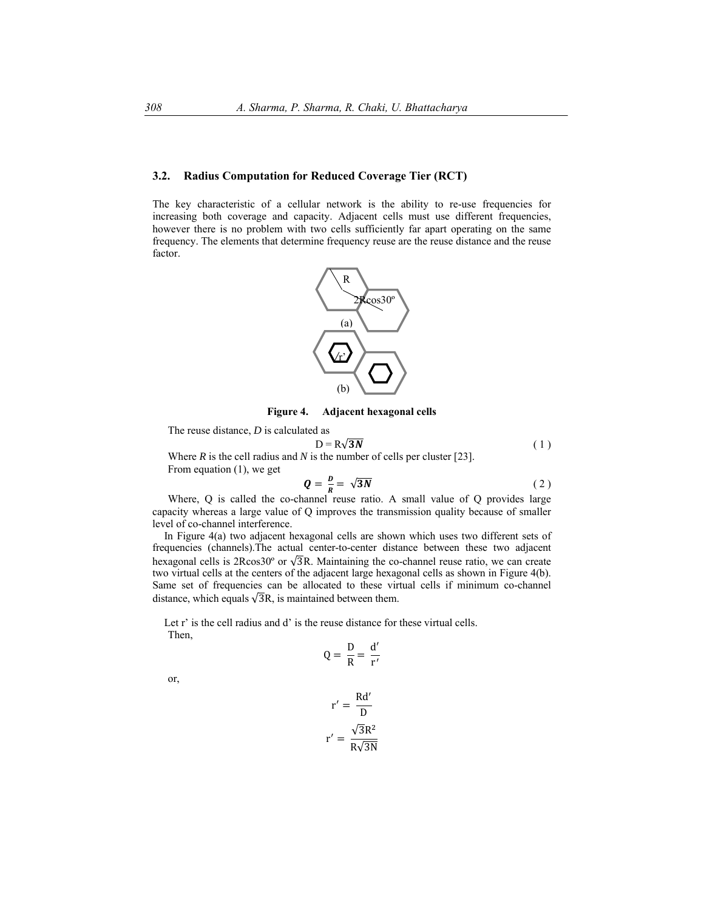### **3.2. Radius Computation for Reduced Coverage Tier (RCT)**

The key characteristic of a cellular network is the ability to re-use frequencies for increasing both coverage and capacity. Adjacent cells must use different frequencies, however there is no problem with two cells sufficiently far apart operating on the same frequency. The elements that determine frequency reuse are the reuse distance and the reuse factor.



**Figure 4. Adjacent hexagonal cells** 

The reuse distance, *D* is calculated as

$$
D = R\sqrt{3N} \tag{1}
$$

Where  $R$  is the cell radius and  $N$  is the number of cells per cluster [23]. From equation (1), we get

$$
Q = \frac{D}{R} = \sqrt{3N} \tag{2}
$$

Where, Q is called the co-channel reuse ratio. A small value of Q provides large capacity whereas a large value of Q improves the transmission quality because of smaller level of co-channel interference.

In Figure 4(a) two adjacent hexagonal cells are shown which uses two different sets of frequencies (channels).The actual center-to-center distance between these two adjacent hexagonal cells is 2Rcos30° or  $\sqrt{3}R$ . Maintaining the co-channel reuse ratio, we can create two virtual cells at the centers of the adjacent large hexagonal cells as shown in Figure 4(b). Same set of frequencies can be allocated to these virtual cells if minimum co-channel distance, which equals  $\sqrt{3}R$ , is maintained between them.

Let r' is the cell radius and d' is the reuse distance for these virtual cells. Then,

$$
Q=\frac{D}{R}=\frac{d'}{r'}
$$

or,

$$
r' = \frac{Rd'}{D}
$$

$$
r' = \frac{\sqrt{3}R^2}{R\sqrt{3N}}
$$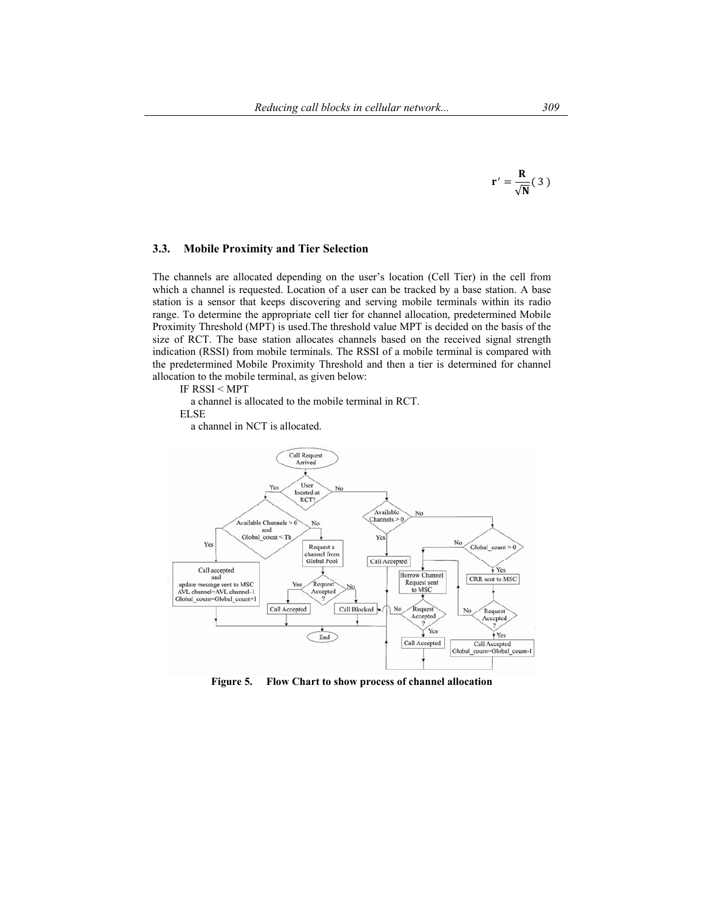$$
\mathbf{r}' = \frac{\mathbf{R}}{\sqrt{\mathbf{N}}} \text{ (3)}
$$

## **3.3. Mobile Proximity and Tier Selection**

The channels are allocated depending on the user's location (Cell Tier) in the cell from which a channel is requested. Location of a user can be tracked by a base station. A base station is a sensor that keeps discovering and serving mobile terminals within its radio range. To determine the appropriate cell tier for channel allocation, predetermined Mobile Proximity Threshold (MPT) is used.The threshold value MPT is decided on the basis of the size of RCT. The base station allocates channels based on the received signal strength indication (RSSI) from mobile terminals. The RSSI of a mobile terminal is compared with the predetermined Mobile Proximity Threshold and then a tier is determined for channel allocation to the mobile terminal, as given below:

IF RSSI < MPT

a channel is allocated to the mobile terminal in RCT.

ELSE

a channel in NCT is allocated.



**Figure 5. Flow Chart to show process of channel allocation**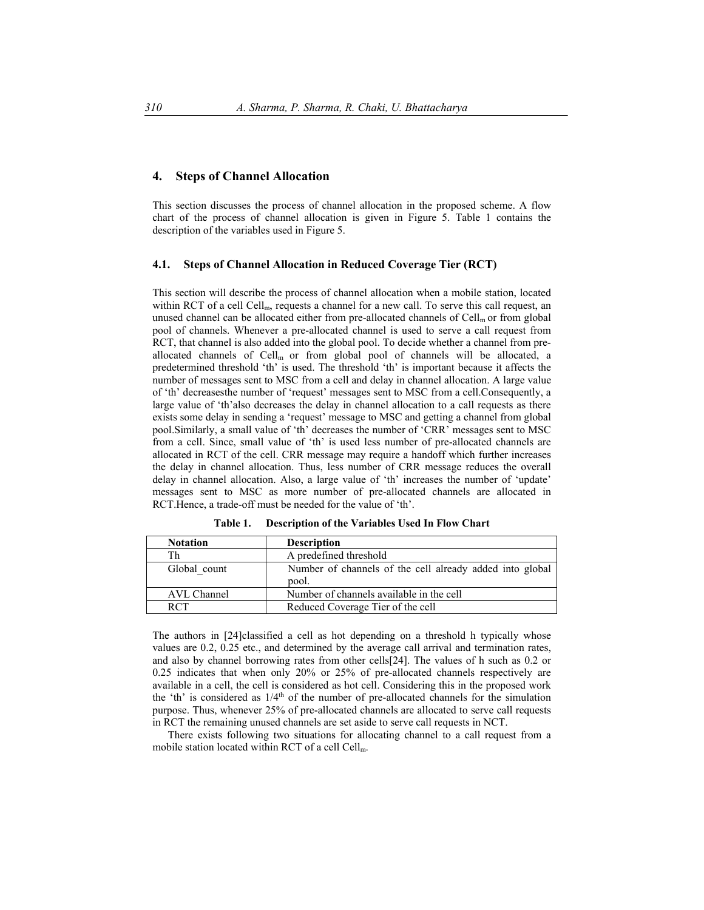### **4. Steps of Channel Allocation**

This section discusses the process of channel allocation in the proposed scheme. A flow chart of the process of channel allocation is given in Figure 5. Table 1 contains the description of the variables used in Figure 5.

## **4.1. Steps of Channel Allocation in Reduced Coverage Tier (RCT)**

This section will describe the process of channel allocation when a mobile station, located within RCT of a cell Cell<sub>m</sub>, requests a channel for a new call. To serve this call request, an unused channel can be allocated either from pre-allocated channels of  $Cell<sub>m</sub>$  or from global pool of channels. Whenever a pre-allocated channel is used to serve a call request from RCT, that channel is also added into the global pool. To decide whether a channel from preallocated channels of Cellm or from global pool of channels will be allocated, a predetermined threshold 'th' is used. The threshold 'th' is important because it affects the number of messages sent to MSC from a cell and delay in channel allocation. A large value of 'th' decreasesthe number of 'request' messages sent to MSC from a cell.Consequently, a large value of 'th'also decreases the delay in channel allocation to a call requests as there exists some delay in sending a 'request' message to MSC and getting a channel from global pool.Similarly, a small value of 'th' decreases the number of 'CRR' messages sent to MSC from a cell. Since, small value of 'th' is used less number of pre-allocated channels are allocated in RCT of the cell. CRR message may require a handoff which further increases the delay in channel allocation. Thus, less number of CRR message reduces the overall delay in channel allocation. Also, a large value of 'th' increases the number of 'update' messages sent to MSC as more number of pre-allocated channels are allocated in RCT.Hence, a trade-off must be needed for the value of 'th'.

| <b>Notation</b> | <b>Description</b>                                                |
|-----------------|-------------------------------------------------------------------|
| Th              | A predefined threshold                                            |
| Global count    | Number of channels of the cell already added into global<br>pool. |
| AVL Channel     | Number of channels available in the cell                          |
| RCT             | Reduced Coverage Tier of the cell                                 |

**Table 1. Description of the Variables Used In Flow Chart** 

The authors in [24]classified a cell as hot depending on a threshold h typically whose values are 0.2, 0.25 etc., and determined by the average call arrival and termination rates, and also by channel borrowing rates from other cells[24]. The values of h such as 0.2 or 0.25 indicates that when only 20% or 25% of pre-allocated channels respectively are available in a cell, the cell is considered as hot cell. Considering this in the proposed work the 'th' is considered as  $1/4<sup>th</sup>$  of the number of pre-allocated channels for the simulation purpose. Thus, whenever 25% of pre-allocated channels are allocated to serve call requests in RCT the remaining unused channels are set aside to serve call requests in NCT.

There exists following two situations for allocating channel to a call request from a mobile station located within RCT of a cell Cellm.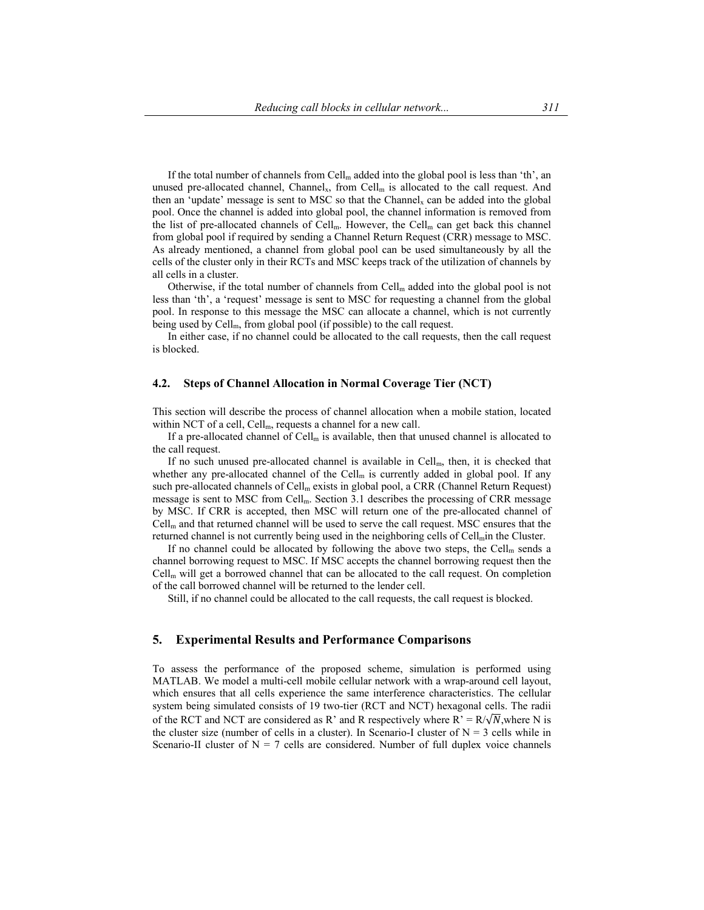If the total number of channels from  $Cell_m$  added into the global pool is less than 'th', an unused pre-allocated channel, Channel<sub>x</sub>, from Cell<sub>m</sub> is allocated to the call request. And then an 'update' message is sent to MSC so that the Channel<sub>x</sub> can be added into the global pool. Once the channel is added into global pool, the channel information is removed from the list of pre-allocated channels of Cell<sub>m</sub>. However, the Cell<sub>m</sub> can get back this channel from global pool if required by sending a Channel Return Request (CRR) message to MSC. As already mentioned, a channel from global pool can be used simultaneously by all the cells of the cluster only in their RCTs and MSC keeps track of the utilization of channels by all cells in a cluster.

Otherwise, if the total number of channels from  $Cell_m$  added into the global pool is not less than 'th', a 'request' message is sent to MSC for requesting a channel from the global pool. In response to this message the MSC can allocate a channel, which is not currently being used by Cellm, from global pool (if possible) to the call request.

In either case, if no channel could be allocated to the call requests, then the call request is blocked.

### **4.2. Steps of Channel Allocation in Normal Coverage Tier (NCT)**

This section will describe the process of channel allocation when a mobile station, located within NCT of a cell, Cell<sub>m</sub>, requests a channel for a new call.

If a pre-allocated channel of Cell<sub>m</sub> is available, then that unused channel is allocated to the call request.

If no such unused pre-allocated channel is available in  $Cell<sub>m</sub>$ , then, it is checked that whether any pre-allocated channel of the Cell<sub>m</sub> is currently added in global pool. If any such pre-allocated channels of Cell<sub>m</sub> exists in global pool, a CRR (Channel Return Request) message is sent to MSC from Cellm. Section 3.1 describes the processing of CRR message by MSC. If CRR is accepted, then MSC will return one of the pre-allocated channel of  $Cell<sub>m</sub>$  and that returned channel will be used to serve the call request. MSC ensures that the returned channel is not currently being used in the neighboring cells of  $Cell<sub>m</sub>$  in the Cluster.

If no channel could be allocated by following the above two steps, the Cell<sub>m</sub> sends a channel borrowing request to MSC. If MSC accepts the channel borrowing request then the  $Cell<sub>m</sub>$  will get a borrowed channel that can be allocated to the call request. On completion of the call borrowed channel will be returned to the lender cell.

Still, if no channel could be allocated to the call requests, the call request is blocked.

# **5. Experimental Results and Performance Comparisons**

To assess the performance of the proposed scheme, simulation is performed using MATLAB. We model a multi-cell mobile cellular network with a wrap-around cell layout, which ensures that all cells experience the same interference characteristics. The cellular system being simulated consists of 19 two-tier (RCT and NCT) hexagonal cells. The radii of the RCT and NCT are considered as R' and R respectively where R' =  $R/\sqrt{N}$ , where N is the cluster size (number of cells in a cluster). In Scenario-I cluster of  $N = 3$  cells while in Scenario-II cluster of  $N = 7$  cells are considered. Number of full duplex voice channels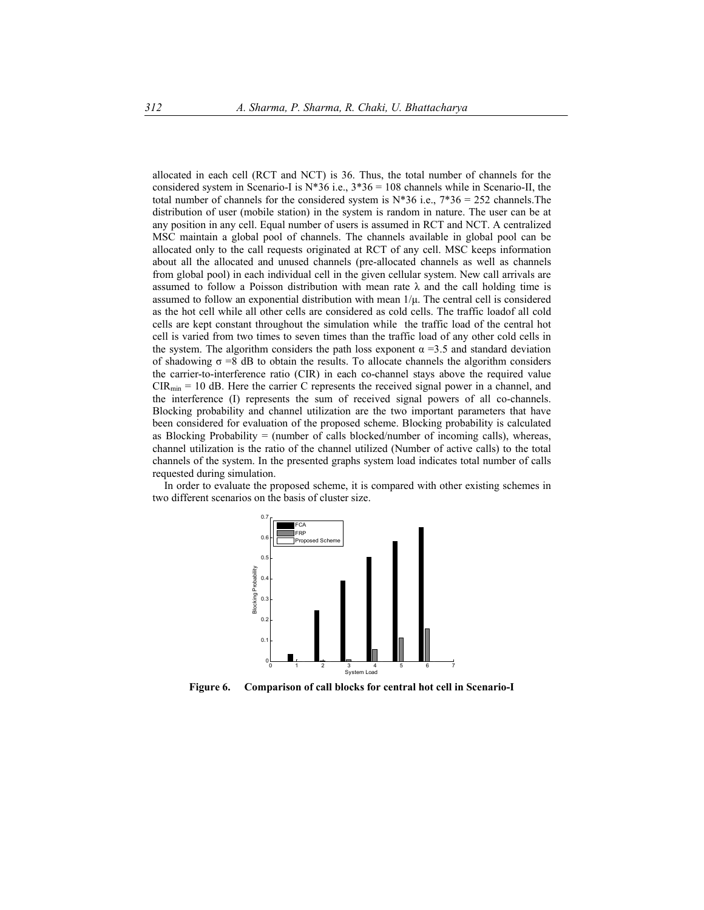allocated in each cell (RCT and NCT) is 36. Thus, the total number of channels for the considered system in Scenario-I is  $N*36$  i.e.,  $3*36 = 108$  channels while in Scenario-II, the total number of channels for the considered system is  $N*36$  i.e.,  $7*36 = 252$  channels. The distribution of user (mobile station) in the system is random in nature. The user can be at any position in any cell. Equal number of users is assumed in RCT and NCT. A centralized MSC maintain a global pool of channels. The channels available in global pool can be allocated only to the call requests originated at RCT of any cell. MSC keeps information about all the allocated and unused channels (pre-allocated channels as well as channels from global pool) in each individual cell in the given cellular system. New call arrivals are assumed to follow a Poisson distribution with mean rate  $\lambda$  and the call holding time is assumed to follow an exponential distribution with mean  $1/\mu$ . The central cell is considered as the hot cell while all other cells are considered as cold cells. The traffic loadof all cold cells are kept constant throughout the simulation while the traffic load of the central hot cell is varied from two times to seven times than the traffic load of any other cold cells in the system. The algorithm considers the path loss exponent  $\alpha = 3.5$  and standard deviation of shadowing  $\sigma = 8$  dB to obtain the results. To allocate channels the algorithm considers the carrier-to-interference ratio (CIR) in each co-channel stays above the required value  $CIR<sub>min</sub> = 10$  dB. Here the carrier C represents the received signal power in a channel, and the interference (I) represents the sum of received signal powers of all co-channels. Blocking probability and channel utilization are the two important parameters that have been considered for evaluation of the proposed scheme. Blocking probability is calculated as Blocking Probability  $=$  (number of calls blocked/number of incoming calls), whereas, channel utilization is the ratio of the channel utilized (Number of active calls) to the total channels of the system. In the presented graphs system load indicates total number of calls requested during simulation.

In order to evaluate the proposed scheme, it is compared with other existing schemes in two different scenarios on the basis of cluster size.



**Figure 6. Comparison of call blocks for central hot cell in Scenario-I**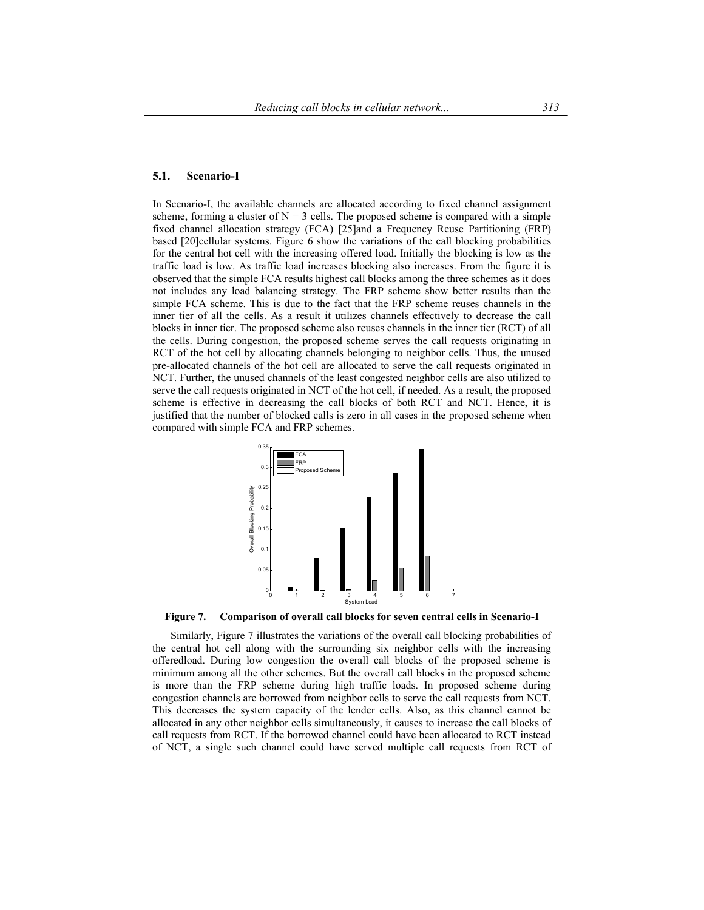### **5.1. Scenario-I**

In Scenario-I, the available channels are allocated according to fixed channel assignment scheme, forming a cluster of  $N = 3$  cells. The proposed scheme is compared with a simple fixed channel allocation strategy (FCA) [25]and a Frequency Reuse Partitioning (FRP) based [20]cellular systems. Figure 6 show the variations of the call blocking probabilities for the central hot cell with the increasing offered load. Initially the blocking is low as the traffic load is low. As traffic load increases blocking also increases. From the figure it is observed that the simple FCA results highest call blocks among the three schemes as it does not includes any load balancing strategy. The FRP scheme show better results than the simple FCA scheme. This is due to the fact that the FRP scheme reuses channels in the inner tier of all the cells. As a result it utilizes channels effectively to decrease the call blocks in inner tier. The proposed scheme also reuses channels in the inner tier (RCT) of all the cells. During congestion, the proposed scheme serves the call requests originating in RCT of the hot cell by allocating channels belonging to neighbor cells. Thus, the unused pre-allocated channels of the hot cell are allocated to serve the call requests originated in NCT. Further, the unused channels of the least congested neighbor cells are also utilized to serve the call requests originated in NCT of the hot cell, if needed. As a result, the proposed scheme is effective in decreasing the call blocks of both RCT and NCT. Hence, it is justified that the number of blocked calls is zero in all cases in the proposed scheme when compared with simple FCA and FRP schemes.



**Figure 7. Comparison of overall call blocks for seven central cells in Scenario-I** 

 Similarly, Figure 7 illustrates the variations of the overall call blocking probabilities of the central hot cell along with the surrounding six neighbor cells with the increasing offeredload. During low congestion the overall call blocks of the proposed scheme is minimum among all the other schemes. But the overall call blocks in the proposed scheme is more than the FRP scheme during high traffic loads. In proposed scheme during congestion channels are borrowed from neighbor cells to serve the call requests from NCT. This decreases the system capacity of the lender cells. Also, as this channel cannot be allocated in any other neighbor cells simultaneously, it causes to increase the call blocks of call requests from RCT. If the borrowed channel could have been allocated to RCT instead of NCT, a single such channel could have served multiple call requests from RCT of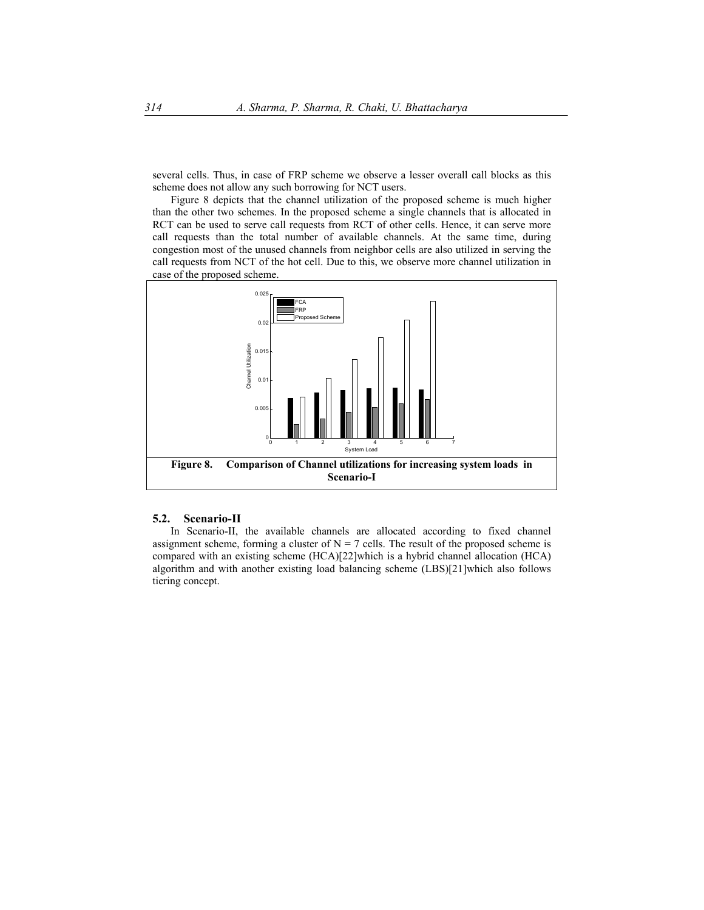several cells. Thus, in case of FRP scheme we observe a lesser overall call blocks as this scheme does not allow any such borrowing for NCT users.

 Figure 8 depicts that the channel utilization of the proposed scheme is much higher than the other two schemes. In the proposed scheme a single channels that is allocated in RCT can be used to serve call requests from RCT of other cells. Hence, it can serve more call requests than the total number of available channels. At the same time, during congestion most of the unused channels from neighbor cells are also utilized in serving the call requests from NCT of the hot cell. Due to this, we observe more channel utilization in case of the proposed scheme.



#### **5.2. Scenario-II**

 In Scenario-II, the available channels are allocated according to fixed channel assignment scheme, forming a cluster of  $N = 7$  cells. The result of the proposed scheme is compared with an existing scheme (HCA)[22]which is a hybrid channel allocation (HCA) algorithm and with another existing load balancing scheme (LBS)[21]which also follows tiering concept.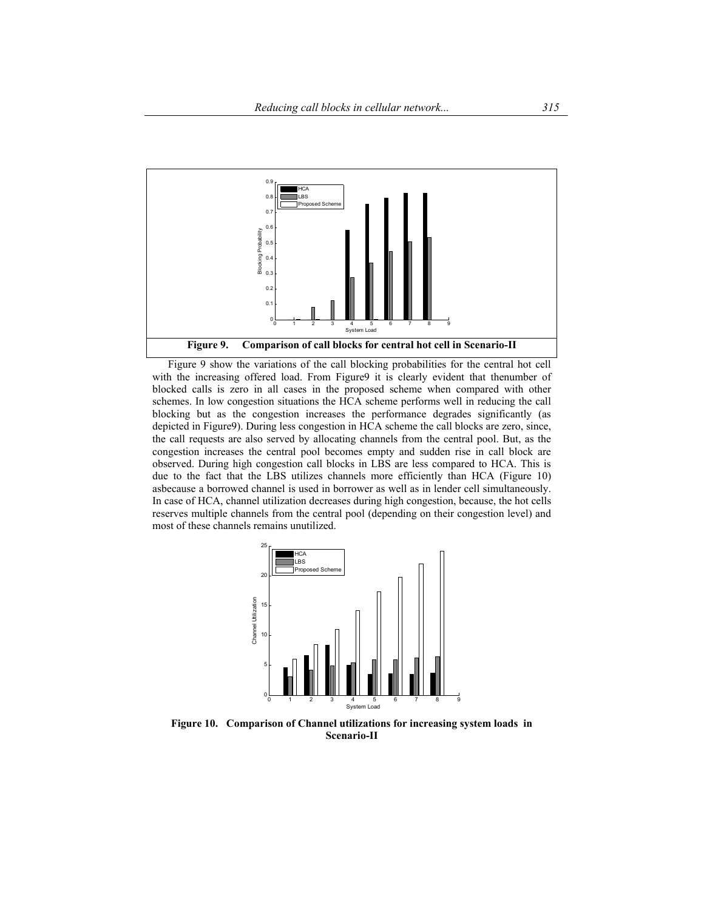

Figure 9 show the variations of the call blocking probabilities for the central hot cell with the increasing offered load. From Figure9 it is clearly evident that thenumber of blocked calls is zero in all cases in the proposed scheme when compared with other schemes. In low congestion situations the HCA scheme performs well in reducing the call blocking but as the congestion increases the performance degrades significantly (as depicted in Figure9). During less congestion in HCA scheme the call blocks are zero, since, the call requests are also served by allocating channels from the central pool. But, as the congestion increases the central pool becomes empty and sudden rise in call block are observed. During high congestion call blocks in LBS are less compared to HCA. This is due to the fact that the LBS utilizes channels more efficiently than HCA (Figure 10) asbecause a borrowed channel is used in borrower as well as in lender cell simultaneously. In case of HCA, channel utilization decreases during high congestion, because, the hot cells reserves multiple channels from the central pool (depending on their congestion level) and most of these channels remains unutilized.



**Figure 10. Comparison of Channel utilizations for increasing system loads in Scenario-II**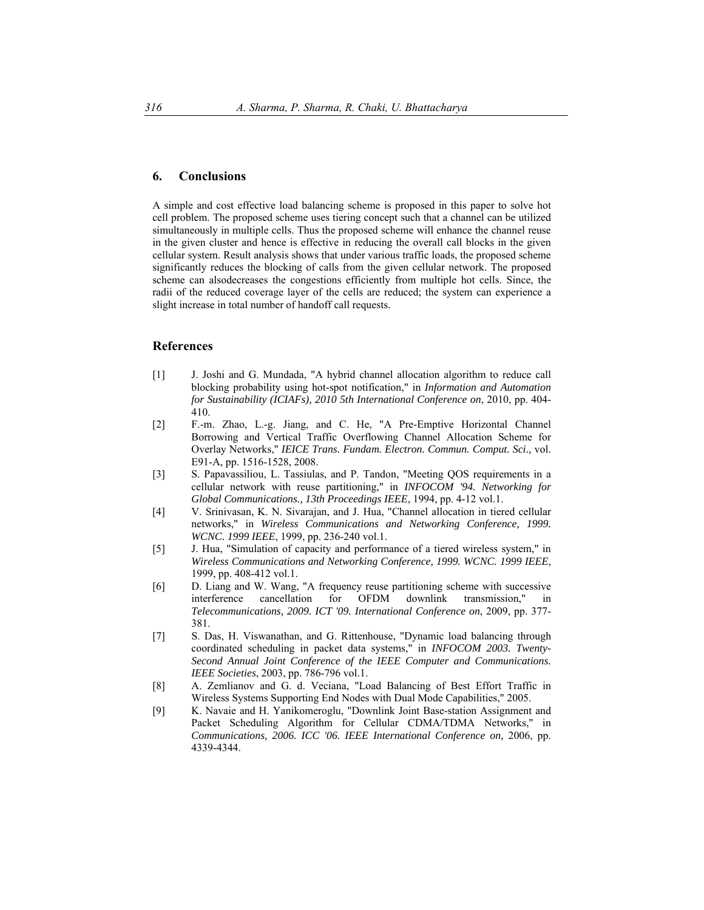# **6. Conclusions**

A simple and cost effective load balancing scheme is proposed in this paper to solve hot cell problem. The proposed scheme uses tiering concept such that a channel can be utilized simultaneously in multiple cells. Thus the proposed scheme will enhance the channel reuse in the given cluster and hence is effective in reducing the overall call blocks in the given cellular system. Result analysis shows that under various traffic loads, the proposed scheme significantly reduces the blocking of calls from the given cellular network. The proposed scheme can alsodecreases the congestions efficiently from multiple hot cells. Since, the radii of the reduced coverage layer of the cells are reduced; the system can experience a slight increase in total number of handoff call requests.

# **References**

- [1] J. Joshi and G. Mundada, "A hybrid channel allocation algorithm to reduce call blocking probability using hot-spot notification," in *Information and Automation for Sustainability (ICIAFs), 2010 5th International Conference on*, 2010, pp. 404- 410.
- [2] F.-m. Zhao, L.-g. Jiang, and C. He, "A Pre-Emptive Horizontal Channel Borrowing and Vertical Traffic Overflowing Channel Allocation Scheme for Overlay Networks," *IEICE Trans. Fundam. Electron. Commun. Comput. Sci.,* vol. E91-A, pp. 1516-1528, 2008.
- [3] S. Papavassiliou, L. Tassiulas, and P. Tandon, "Meeting QOS requirements in a cellular network with reuse partitioning," in *INFOCOM '94. Networking for Global Communications., 13th Proceedings IEEE*, 1994, pp. 4-12 vol.1.
- [4] V. Srinivasan, K. N. Sivarajan, and J. Hua, "Channel allocation in tiered cellular networks," in *Wireless Communications and Networking Conference, 1999. WCNC. 1999 IEEE*, 1999, pp. 236-240 vol.1.
- [5] J. Hua, "Simulation of capacity and performance of a tiered wireless system," in *Wireless Communications and Networking Conference, 1999. WCNC. 1999 IEEE*, 1999, pp. 408-412 vol.1.
- [6] D. Liang and W. Wang, "A frequency reuse partitioning scheme with successive interference cancellation for OFDM downlink transmission," in *Telecommunications, 2009. ICT '09. International Conference on*, 2009, pp. 377- 381.
- [7] S. Das, H. Viswanathan, and G. Rittenhouse, "Dynamic load balancing through coordinated scheduling in packet data systems," in *INFOCOM 2003. Twenty-Second Annual Joint Conference of the IEEE Computer and Communications. IEEE Societies*, 2003, pp. 786-796 vol.1.
- [8] A. Zemlianov and G. d. Veciana, "Load Balancing of Best Effort Traffic in Wireless Systems Supporting End Nodes with Dual Mode Capabilities," 2005.
- [9] K. Navaie and H. Yanikomeroglu, "Downlink Joint Base-station Assignment and Packet Scheduling Algorithm for Cellular CDMA/TDMA Networks," in *Communications, 2006. ICC '06. IEEE International Conference on*, 2006, pp. 4339-4344.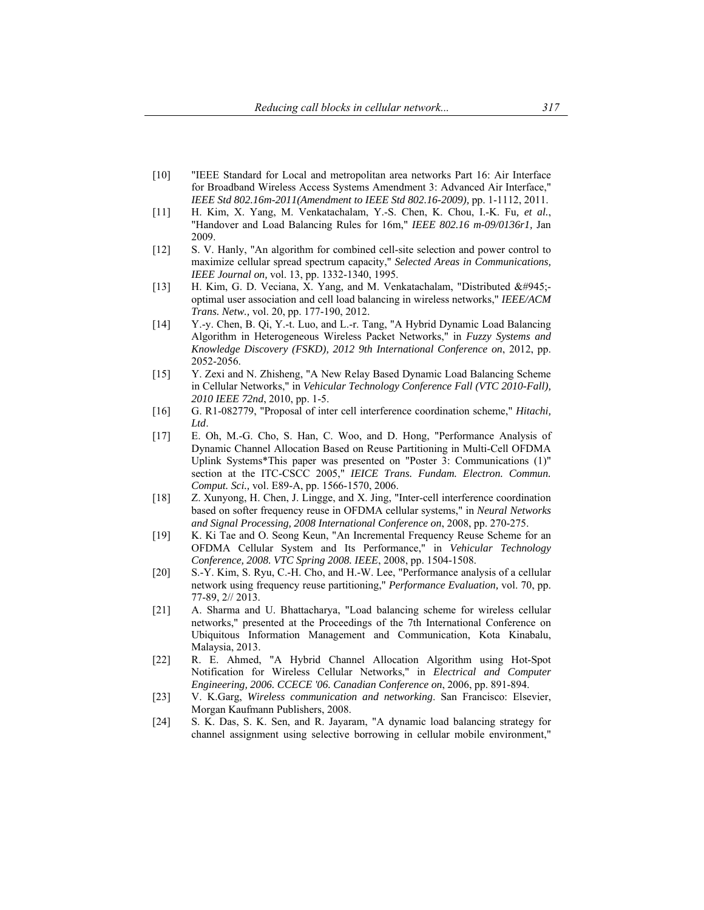- [10] "IEEE Standard for Local and metropolitan area networks Part 16: Air Interface for Broadband Wireless Access Systems Amendment 3: Advanced Air Interface," *IEEE Std 802.16m-2011(Amendment to IEEE Std 802.16-2009),* pp. 1-1112, 2011.
- [11] H. Kim, X. Yang, M. Venkatachalam, Y.-S. Chen, K. Chou, I.-K. Fu*, et al.*, "Handover and Load Balancing Rules for 16m," *IEEE 802.16 m-09/0136r1,* Jan 2009.
- [12] S. V. Hanly, "An algorithm for combined cell-site selection and power control to maximize cellular spread spectrum capacity," *Selected Areas in Communications, IEEE Journal on,* vol. 13, pp. 1332-1340, 1995.
- [13] H. Kim, G. D. Veciana, X. Yang, and M. Venkatachalam, "Distributed  $\&\#945$ ;optimal user association and cell load balancing in wireless networks," *IEEE/ACM Trans. Netw.,* vol. 20, pp. 177-190, 2012.
- [14] Y.-y. Chen, B. Qi, Y.-t. Luo, and L.-r. Tang, "A Hybrid Dynamic Load Balancing Algorithm in Heterogeneous Wireless Packet Networks," in *Fuzzy Systems and Knowledge Discovery (FSKD), 2012 9th International Conference on*, 2012, pp. 2052-2056.
- [15] Y. Zexi and N. Zhisheng, "A New Relay Based Dynamic Load Balancing Scheme in Cellular Networks," in *Vehicular Technology Conference Fall (VTC 2010-Fall), 2010 IEEE 72nd*, 2010, pp. 1-5.
- [16] G. R1-082779, "Proposal of inter cell interference coordination scheme," *Hitachi, Ltd*.
- [17] E. Oh, M.-G. Cho, S. Han, C. Woo, and D. Hong, "Performance Analysis of Dynamic Channel Allocation Based on Reuse Partitioning in Multi-Cell OFDMA Uplink Systems\*This paper was presented on "Poster 3: Communications (1)" section at the ITC-CSCC 2005," *IEICE Trans. Fundam. Electron. Commun. Comput. Sci.,* vol. E89-A, pp. 1566-1570, 2006.
- [18] Z. Xunyong, H. Chen, J. Lingge, and X. Jing, "Inter-cell interference coordination based on softer frequency reuse in OFDMA cellular systems," in *Neural Networks and Signal Processing, 2008 International Conference on*, 2008, pp. 270-275.
- [19] K. Ki Tae and O. Seong Keun, "An Incremental Frequency Reuse Scheme for an OFDMA Cellular System and Its Performance," in *Vehicular Technology Conference, 2008. VTC Spring 2008. IEEE*, 2008, pp. 1504-1508.
- [20] S.-Y. Kim, S. Ryu, C.-H. Cho, and H.-W. Lee, "Performance analysis of a cellular network using frequency reuse partitioning," *Performance Evaluation,* vol. 70, pp. 77-89, 2// 2013.
- [21] A. Sharma and U. Bhattacharya, "Load balancing scheme for wireless cellular networks," presented at the Proceedings of the 7th International Conference on Ubiquitous Information Management and Communication, Kota Kinabalu, Malaysia, 2013.
- [22] R. E. Ahmed, "A Hybrid Channel Allocation Algorithm using Hot-Spot Notification for Wireless Cellular Networks," in *Electrical and Computer Engineering, 2006. CCECE '06. Canadian Conference on*, 2006, pp. 891-894.
- [23] V. K.Garg, *Wireless communication and networking*. San Francisco: Elsevier, Morgan Kaufmann Publishers, 2008.
- [24] S. K. Das, S. K. Sen, and R. Jayaram, "A dynamic load balancing strategy for channel assignment using selective borrowing in cellular mobile environment,"